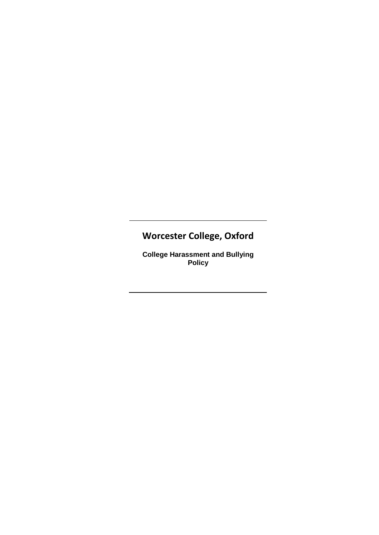# **Worcester College, Oxford**

**College Harassment and Bullying Policy**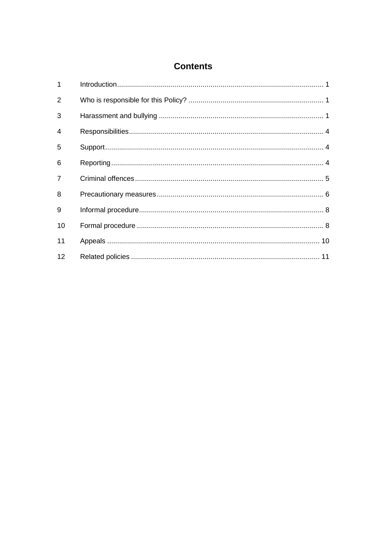# **Contents**

| $\mathbf 1$    |  |
|----------------|--|
| 2              |  |
| 3              |  |
| $\overline{4}$ |  |
| 5              |  |
| 6              |  |
| $\overline{7}$ |  |
| 8              |  |
| 9              |  |
| 10             |  |
| 11             |  |
| 12             |  |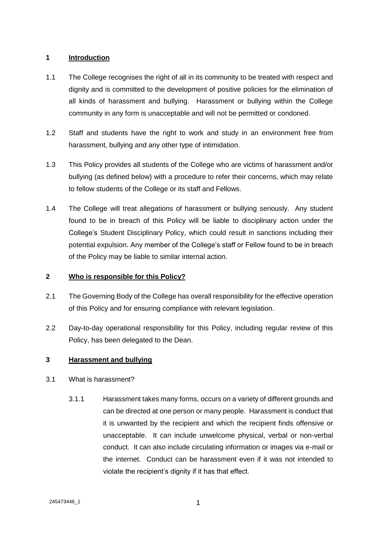#### **1 Introduction**

- 1.1 The College recognises the right of all in its community to be treated with respect and dignity and is committed to the development of positive policies for the elimination of all kinds of harassment and bullying. Harassment or bullying within the College community in any form is unacceptable and will not be permitted or condoned.
- 1.2 Staff and students have the right to work and study in an environment free from harassment, bullying and any other type of intimidation.
- 1.3 This Policy provides all students of the College who are victims of harassment and/or bullying (as defined below) with a procedure to refer their concerns, which may relate to fellow students of the College or its staff and Fellows.
- 1.4 The College will treat allegations of harassment or bullying seriously. Any student found to be in breach of this Policy will be liable to disciplinary action under the College's Student Disciplinary Policy, which could result in sanctions including their potential expulsion. Any member of the College's staff or Fellow found to be in breach of the Policy may be liable to similar internal action.

# **2 Who is responsible for this Policy?**

- 2.1 The Governing Body of the College has overall responsibility for the effective operation of this Policy and for ensuring compliance with relevant legislation.
- 2.2 Day-to-day operational responsibility for this Policy, including regular review of this Policy, has been delegated to the Dean.

# **3 Harassment and bullying**

- 3.1 What is harassment?
	- 3.1.1 Harassment takes many forms, occurs on a variety of different grounds and can be directed at one person or many people. Harassment is conduct that it is unwanted by the recipient and which the recipient finds offensive or unacceptable. It can include unwelcome physical, verbal or non-verbal conduct. It can also include circulating information or images via e-mail or the internet. Conduct can be harassment even if it was not intended to violate the recipient's dignity if it has that effect.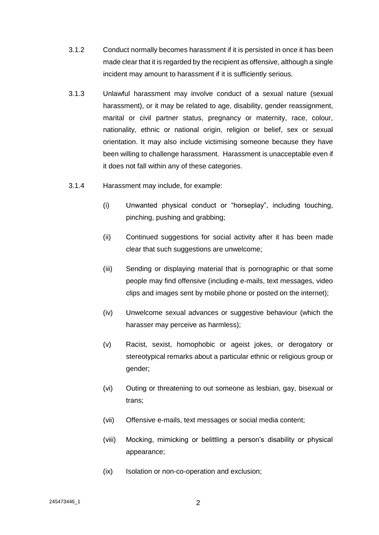- 3.1.2 Conduct normally becomes harassment if it is persisted in once it has been made clear that it is regarded by the recipient as offensive, although a single incident may amount to harassment if it is sufficiently serious.
- 3.1.3 Unlawful harassment may involve conduct of a sexual nature (sexual harassment), or it may be related to age, disability, gender reassignment, marital or civil partner status, pregnancy or maternity, race, colour, nationality, ethnic or national origin, religion or belief, sex or sexual orientation. It may also include victimising someone because they have been willing to challenge harassment. Harassment is unacceptable even if it does not fall within any of these categories.
- 3.1.4 Harassment may include, for example:
	- (i) Unwanted physical conduct or "horseplay", including touching, pinching, pushing and grabbing;
	- (ii) Continued suggestions for social activity after it has been made clear that such suggestions are unwelcome;
	- (iii) Sending or displaying material that is pornographic or that some people may find offensive (including e-mails, text messages, video clips and images sent by mobile phone or posted on the internet);
	- (iv) Unwelcome sexual advances or suggestive behaviour (which the harasser may perceive as harmless);
	- (v) Racist, sexist, homophobic or ageist jokes, or derogatory or stereotypical remarks about a particular ethnic or religious group or gender;
	- (vi) Outing or threatening to out someone as lesbian, gay, bisexual or trans;
	- (vii) Offensive e-mails, text messages or social media content;
	- (viii) Mocking, mimicking or belittling a person's disability or physical appearance;
	- (ix) Isolation or non-co-operation and exclusion;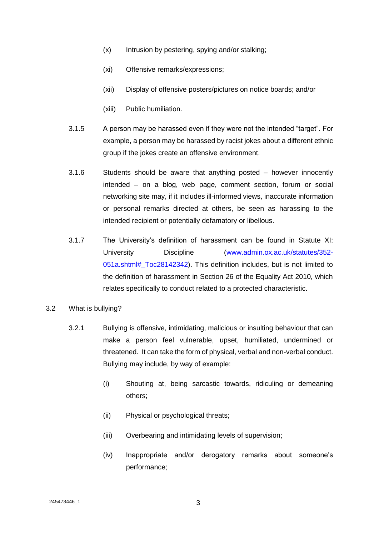- (x) Intrusion by pestering, spying and/or stalking;
- (xi) Offensive remarks/expressions;
- (xii) Display of offensive posters/pictures on notice boards; and/or
- (xiii) Public humiliation.
- 3.1.5 A person may be harassed even if they were not the intended "target". For example, a person may be harassed by racist jokes about a different ethnic group if the jokes create an offensive environment.
- 3.1.6 Students should be aware that anything posted however innocently intended – on a blog, web page, comment section, forum or social networking site may, if it includes ill-informed views, inaccurate information or personal remarks directed at others, be seen as harassing to the intended recipient or potentially defamatory or libellous.
- 3.1.7 The University's definition of harassment can be found in Statute XI: University Discipline [\(www.admin.ox.ac.uk/statutes/352-](http://www.admin.ox.ac.uk/statutes/352-051a.shtml#_Toc28142342) 051a.shtml# Toc28142342). This definition includes, but is not limited to the definition of harassment in Section 26 of the Equality Act 2010, which relates specifically to conduct related to a protected characteristic.
- 3.2 What is bullying?
	- 3.2.1 Bullying is offensive, intimidating, malicious or insulting behaviour that can make a person feel vulnerable, upset, humiliated, undermined or threatened. It can take the form of physical, verbal and non-verbal conduct. Bullying may include, by way of example:
		- (i) Shouting at, being sarcastic towards, ridiculing or demeaning others;
		- (ii) Physical or psychological threats;
		- (iii) Overbearing and intimidating levels of supervision;
		- (iv) Inappropriate and/or derogatory remarks about someone's performance;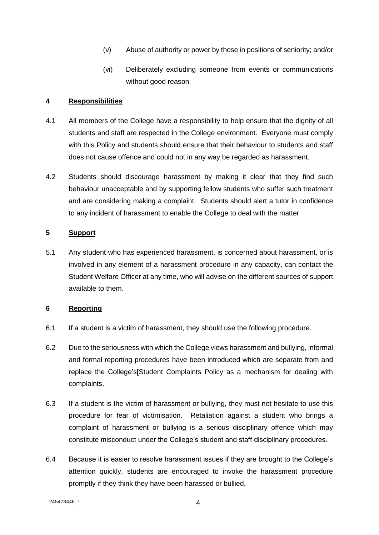- (v) Abuse of authority or power by those in positions of seniority; and/or
- (vi) Deliberately excluding someone from events or communications without good reason.

#### **4 Responsibilities**

- 4.1 All members of the College have a responsibility to help ensure that the dignity of all students and staff are respected in the College environment. Everyone must comply with this Policy and students should ensure that their behaviour to students and staff does not cause offence and could not in any way be regarded as harassment.
- 4.2 Students should discourage harassment by making it clear that they find such behaviour unacceptable and by supporting fellow students who suffer such treatment and are considering making a complaint. Students should alert a tutor in confidence to any incident of harassment to enable the College to deal with the matter.

### <span id="page-5-0"></span>**5 Support**

5.1 Any student who has experienced harassment, is concerned about harassment, or is involved in any element of a harassment procedure in any capacity, can contact the Student Welfare Officer at any time, who will advise on the different sources of support available to them.

#### **6 Reporting**

- 6.1 If a student is a victim of harassment, they should use the following procedure.
- 6.2 Due to the seriousness with which the College views harassment and bullying, informal and formal reporting procedures have been introduced which are separate from and replace the College's[Student Complaints Policy as a mechanism for dealing with complaints.
- 6.3 If a student is the victim of harassment or bullying, they must not hesitate to use this procedure for fear of victimisation. Retaliation against a student who brings a complaint of harassment or bullying is a serious disciplinary offence which may constitute misconduct under the College's student and staff disciplinary procedures.
- 6.4 Because it is easier to resolve harassment issues if they are brought to the College's attention quickly, students are encouraged to invoke the harassment procedure promptly if they think they have been harassed or bullied.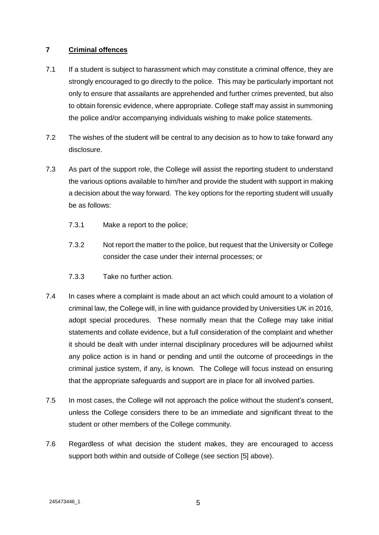#### **7 Criminal offences**

- 7.1 If a student is subject to harassment which may constitute a criminal offence, they are strongly encouraged to go directly to the police. This may be particularly important not only to ensure that assailants are apprehended and further crimes prevented, but also to obtain forensic evidence, where appropriate. College staff may assist in summoning the police and/or accompanying individuals wishing to make police statements.
- 7.2 The wishes of the student will be central to any decision as to how to take forward any disclosure.
- 7.3 As part of the support role, the College will assist the reporting student to understand the various options available to him/her and provide the student with support in making a decision about the way forward. The key options for the reporting student will usually be as follows:
	- 7.3.1 Make a report to the police;
	- 7.3.2 Not report the matter to the police, but request that the University or College consider the case under their internal processes; or
	- 7.3.3 Take no further action.
- 7.4 In cases where a complaint is made about an act which could amount to a violation of criminal law, the College will, in line with guidance provided by Universities UK in 2016, adopt special procedures. These normally mean that the College may take initial statements and collate evidence, but a full consideration of the complaint and whether it should be dealt with under internal disciplinary procedures will be adjourned whilst any police action is in hand or pending and until the outcome of proceedings in the criminal justice system, if any, is known. The College will focus instead on ensuring that the appropriate safeguards and support are in place for all involved parties.
- 7.5 In most cases, the College will not approach the police without the student's consent, unless the College considers there to be an immediate and significant threat to the student or other members of the College community.
- 7.6 Regardless of what decision the student makes, they are encouraged to access support both within and outside of College (see section [\[5\]](#page-5-0) above).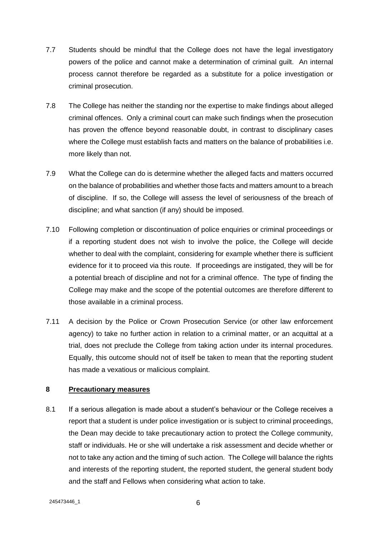- 7.7 Students should be mindful that the College does not have the legal investigatory powers of the police and cannot make a determination of criminal guilt. An internal process cannot therefore be regarded as a substitute for a police investigation or criminal prosecution.
- 7.8 The College has neither the standing nor the expertise to make findings about alleged criminal offences. Only a criminal court can make such findings when the prosecution has proven the offence beyond reasonable doubt, in contrast to disciplinary cases where the College must establish facts and matters on the balance of probabilities i.e. more likely than not.
- 7.9 What the College can do is determine whether the alleged facts and matters occurred on the balance of probabilities and whether those facts and matters amount to a breach of discipline. If so, the College will assess the level of seriousness of the breach of discipline; and what sanction (if any) should be imposed.
- 7.10 Following completion or discontinuation of police enquiries or criminal proceedings or if a reporting student does not wish to involve the police, the College will decide whether to deal with the complaint, considering for example whether there is sufficient evidence for it to proceed via this route. If proceedings are instigated, they will be for a potential breach of discipline and not for a criminal offence. The type of finding the College may make and the scope of the potential outcomes are therefore different to those available in a criminal process.
- 7.11 A decision by the Police or Crown Prosecution Service (or other law enforcement agency) to take no further action in relation to a criminal matter, or an acquittal at a trial, does not preclude the College from taking action under its internal procedures. Equally, this outcome should not of itself be taken to mean that the reporting student has made a vexatious or malicious complaint.

#### **8 Precautionary measures**

<span id="page-7-0"></span>8.1 If a serious allegation is made about a student's behaviour or the College receives a report that a student is under police investigation or is subject to criminal proceedings, the Dean may decide to take precautionary action to protect the College community, staff or individuals. He or she will undertake a risk assessment and decide whether or not to take any action and the timing of such action. The College will balance the rights and interests of the reporting student, the reported student, the general student body and the staff and Fellows when considering what action to take.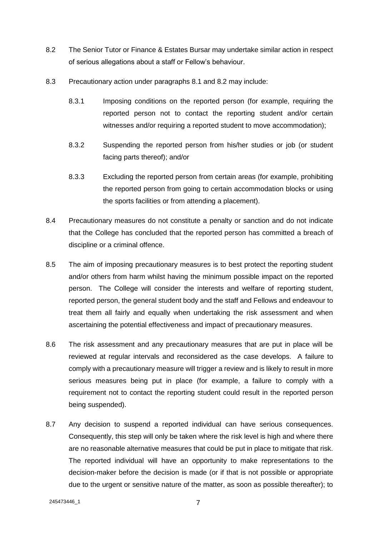- <span id="page-8-0"></span>8.2 The Senior Tutor or Finance & Estates Bursar may undertake similar action in respect of serious allegations about a staff or Fellow's behaviour.
- 8.3 Precautionary action under paragraphs [8.1](#page-7-0) and [8.2](#page-8-0) may include:
	- 8.3.1 Imposing conditions on the reported person (for example, requiring the reported person not to contact the reporting student and/or certain witnesses and/or requiring a reported student to move accommodation):
	- 8.3.2 Suspending the reported person from his/her studies or job (or student facing parts thereof); and/or
	- 8.3.3 Excluding the reported person from certain areas (for example, prohibiting the reported person from going to certain accommodation blocks or using the sports facilities or from attending a placement).
- 8.4 Precautionary measures do not constitute a penalty or sanction and do not indicate that the College has concluded that the reported person has committed a breach of discipline or a criminal offence.
- 8.5 The aim of imposing precautionary measures is to best protect the reporting student and/or others from harm whilst having the minimum possible impact on the reported person. The College will consider the interests and welfare of reporting student, reported person, the general student body and the staff and Fellows and endeavour to treat them all fairly and equally when undertaking the risk assessment and when ascertaining the potential effectiveness and impact of precautionary measures.
- 8.6 The risk assessment and any precautionary measures that are put in place will be reviewed at regular intervals and reconsidered as the case develops. A failure to comply with a precautionary measure will trigger a review and is likely to result in more serious measures being put in place (for example, a failure to comply with a requirement not to contact the reporting student could result in the reported person being suspended).
- 8.7 Any decision to suspend a reported individual can have serious consequences. Consequently, this step will only be taken where the risk level is high and where there are no reasonable alternative measures that could be put in place to mitigate that risk. The reported individual will have an opportunity to make representations to the decision-maker before the decision is made (or if that is not possible or appropriate due to the urgent or sensitive nature of the matter, as soon as possible thereafter); to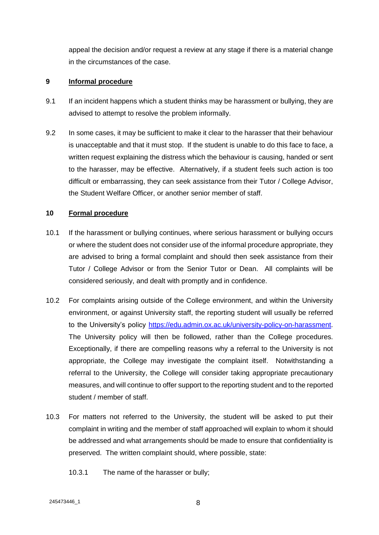appeal the decision and/or request a review at any stage if there is a material change in the circumstances of the case.

#### **9 Informal procedure**

- 9.1 If an incident happens which a student thinks may be harassment or bullying, they are advised to attempt to resolve the problem informally.
- 9.2 In some cases, it may be sufficient to make it clear to the harasser that their behaviour is unacceptable and that it must stop. If the student is unable to do this face to face, a written request explaining the distress which the behaviour is causing, handed or sent to the harasser, may be effective. Alternatively, if a student feels such action is too difficult or embarrassing, they can seek assistance from their Tutor / College Advisor, the Student Welfare Officer, or another senior member of staff.

### **10 Formal procedure**

- 10.1 If the harassment or bullying continues, where serious harassment or bullying occurs or where the student does not consider use of the informal procedure appropriate, they are advised to bring a formal complaint and should then seek assistance from their Tutor / College Advisor or from the Senior Tutor or Dean. All complaints will be considered seriously, and dealt with promptly and in confidence.
- 10.2 For complaints arising outside of the College environment, and within the University environment, or against University staff, the reporting student will usually be referred to the University's policy [https://edu.admin.ox.ac.uk/university-policy-on-harassment.](https://edu.admin.ox.ac.uk/university-policy-on-harassment) The University policy will then be followed, rather than the College procedures. Exceptionally, if there are compelling reasons why a referral to the University is not appropriate, the College may investigate the complaint itself. Notwithstanding a referral to the University, the College will consider taking appropriate precautionary measures, and will continue to offer support to the reporting student and to the reported student / member of staff.
- 10.3 For matters not referred to the University, the student will be asked to put their complaint in writing and the member of staff approached will explain to whom it should be addressed and what arrangements should be made to ensure that confidentiality is preserved. The written complaint should, where possible, state:
	- 10.3.1 The name of the harasser or bully;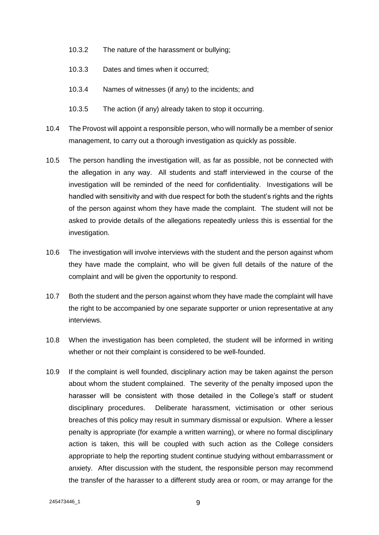- 10.3.2 The nature of the harassment or bullying;
- 10.3.3 Dates and times when it occurred;
- 10.3.4 Names of witnesses (if any) to the incidents; and
- 10.3.5 The action (if any) already taken to stop it occurring.
- 10.4 The Provost will appoint a responsible person, who will normally be a member of senior management, to carry out a thorough investigation as quickly as possible.
- 10.5 The person handling the investigation will, as far as possible, not be connected with the allegation in any way. All students and staff interviewed in the course of the investigation will be reminded of the need for confidentiality. Investigations will be handled with sensitivity and with due respect for both the student's rights and the rights of the person against whom they have made the complaint. The student will not be asked to provide details of the allegations repeatedly unless this is essential for the investigation.
- 10.6 The investigation will involve interviews with the student and the person against whom they have made the complaint, who will be given full details of the nature of the complaint and will be given the opportunity to respond.
- 10.7 Both the student and the person against whom they have made the complaint will have the right to be accompanied by one separate supporter or union representative at any interviews.
- <span id="page-10-0"></span>10.8 When the investigation has been completed, the student will be informed in writing whether or not their complaint is considered to be well-founded.
- 10.9 If the complaint is well founded, disciplinary action may be taken against the person about whom the student complained. The severity of the penalty imposed upon the harasser will be consistent with those detailed in the College's staff or student disciplinary procedures. Deliberate harassment, victimisation or other serious breaches of this policy may result in summary dismissal or expulsion. Where a lesser penalty is appropriate (for example a written warning), or where no formal disciplinary action is taken, this will be coupled with such action as the College considers appropriate to help the reporting student continue studying without embarrassment or anxiety. After discussion with the student, the responsible person may recommend the transfer of the harasser to a different study area or room, or may arrange for the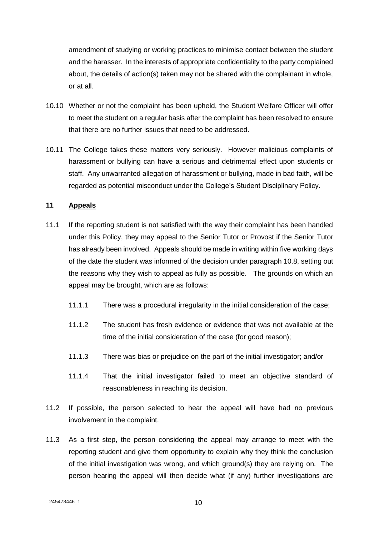amendment of studying or working practices to minimise contact between the student and the harasser. In the interests of appropriate confidentiality to the party complained about, the details of action(s) taken may not be shared with the complainant in whole, or at all.

- 10.10 Whether or not the complaint has been upheld, the Student Welfare Officer will offer to meet the student on a regular basis after the complaint has been resolved to ensure that there are no further issues that need to be addressed.
- 10.11 The College takes these matters very seriously. However malicious complaints of harassment or bullying can have a serious and detrimental effect upon students or staff. Any unwarranted allegation of harassment or bullying, made in bad faith, will be regarded as potential misconduct under the College's Student Disciplinary Policy.

### **11 Appeals**

- 11.1 If the reporting student is not satisfied with the way their complaint has been handled under this Policy, they may appeal to the Senior Tutor or Provost if the Senior Tutor has already been involved. Appeals should be made in writing within five working days of the date the student was informed of the decision under paragraph [10.8,](#page-10-0) setting out the reasons why they wish to appeal as fully as possible. The grounds on which an appeal may be brought, which are as follows:
	- 11.1.1 There was a procedural irregularity in the initial consideration of the case;
	- 11.1.2 The student has fresh evidence or evidence that was not available at the time of the initial consideration of the case (for good reason);
	- 11.1.3 There was bias or prejudice on the part of the initial investigator; and/or
	- 11.1.4 That the initial investigator failed to meet an objective standard of reasonableness in reaching its decision.
- 11.2 If possible, the person selected to hear the appeal will have had no previous involvement in the complaint.
- 11.3 As a first step, the person considering the appeal may arrange to meet with the reporting student and give them opportunity to explain why they think the conclusion of the initial investigation was wrong, and which ground(s) they are relying on. The person hearing the appeal will then decide what (if any) further investigations are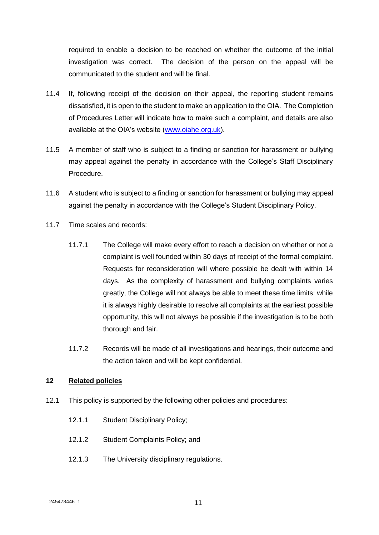required to enable a decision to be reached on whether the outcome of the initial investigation was correct. The decision of the person on the appeal will be communicated to the student and will be final.

- 11.4 If, following receipt of the decision on their appeal, the reporting student remains dissatisfied, it is open to the student to make an application to the OIA. The Completion of Procedures Letter will indicate how to make such a complaint, and details are also available at the OIA's website [\(www.oiahe.org.uk\)](http://www.oiahe.org.uk/).
- 11.5 A member of staff who is subject to a finding or sanction for harassment or bullying may appeal against the penalty in accordance with the College's Staff Disciplinary Procedure.
- 11.6 A student who is subject to a finding or sanction for harassment or bullying may appeal against the penalty in accordance with the College's Student Disciplinary Policy.
- 11.7 Time scales and records:
	- 11.7.1 The College will make every effort to reach a decision on whether or not a complaint is well founded within 30 days of receipt of the formal complaint. Requests for reconsideration will where possible be dealt with within 14 days. As the complexity of harassment and bullying complaints varies greatly, the College will not always be able to meet these time limits: while it is always highly desirable to resolve all complaints at the earliest possible opportunity, this will not always be possible if the investigation is to be both thorough and fair.
	- 11.7.2 Records will be made of all investigations and hearings, their outcome and the action taken and will be kept confidential.

# **12 Related policies**

- 12.1 This policy is supported by the following other policies and procedures:
	- 12.1.1 Student Disciplinary Policy;
	- 12.1.2 Student Complaints Policy; and
	- 12.1.3 The University disciplinary regulations.